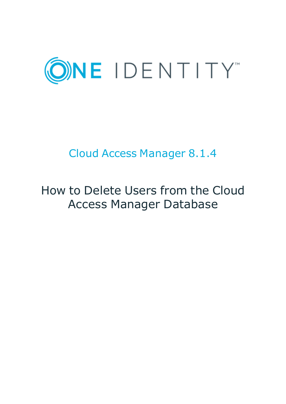

# Cloud Access Manager 8.1.4

# How to Delete Users from the Cloud Access Manager Database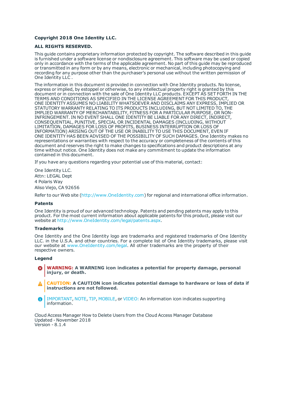### **Copyright 2018 One Identity LLC.**

#### **ALL RIGHTS RESERVED.**

This guide contains proprietary information protected by copyright. The software described in this guide is furnished under a software license or nondisclosure agreement. This software may be used or copied only in accordance with the terms of the applicable agreement. No part of this guide may be reproduced or transmitted in any form or by any means, electronic or mechanical, including photocopying and recording for any purpose other than the purchaser's personal use without the written permission of One Identity LLC .

The information in this document is provided in connection with One Identity products. No license, express or implied, by estoppel or otherwise, to any intellectual property right is granted by this document or in connection with the sale of One Identity LLC products. EXCEPT AS SET FORTH IN THE TERMS AND CONDITIONS AS SPECIFIED IN THE LICENSE AGREEMENT FOR THIS PRODUCT, ONE IDENTITY ASSUMES NO LIABILITY WHATSOEVER AND DISCLAIMS ANY EXPRESS, IMPLIED OR STATUTORY WARRANTY RELATING TO ITS PRODUCTS INCLUDING, BUT NOT LIMITED TO, THE IMPLIED WARRANTY OF MERCHANTABILITY, FITNESS FOR A PARTICULAR PURPOSE, OR NON-INFRINGEMENT. IN NO EVENT SHALL ONE IDENTITY BE LIABLE FOR ANY DIRECT, INDIRECT, CONSEQUENTIAL, PUNITIVE, SPECIAL OR INCIDENTAL DAMAGES (INCLUDING, WITHOUT LIMITATION, DAMAGES FOR LOSS OF PROFITS, BUSINESS INTERRUPTION OR LOSS OF INFORMATION) ARISING OUT OF THE USE OR INABILITY TO USE THIS DOCUMENT, EVEN IF ONE IDENTITY HAS BEEN ADVISED OF THE POSSIBILITY OF SUCH DAMAGES. One Identity makes no representations or warranties with respect to the accuracy or completeness of the contents of this document and reserves the right to make changes to specifications and product descriptions at any time without notice. One Identity does not make any commitment to update the information contained in this document.

If you have any questions regarding your potential use of this material, contact:

One Identity LLC. Attn: LEGAL Dept 4 Polaris Way Aliso Viejo, CA 92656

Refer to our Web site ([http://www.OneIdentity.com](http://www.oneidentity.com/)) for regional and international office information.

#### **Patents**

One Identity is proud of our advanced technology. Patents and pending patents may apply to this product. For the most current information about applicable patents for this product, please visit our website at [http://www.OneIdentity.com/legal/patents.aspx](http://www.oneidentity.com/legal/patents.aspx).

#### **Trademarks**

One Identity and the One Identity logo are trademarks and registered trademarks of One Identity LLC. in the U.S.A. and other countries. For a complete list of One Identity trademarks, please visit our website at [www.OneIdentity.com/legal](http://www.oneidentity.com/legal). All other trademarks are the property of their respective owners.

#### **Legend**

- **WARNING: A WARNING icon indicates a potential for property damage, personal injury, or death.**
- **CAUTION: A CAUTION icon indicates potential damage to hardware or loss of data if instructions are not followed.**
- IMPORTANT, NOTE, TIP, MOBILE, or VIDEO: An information icon indicates supporting Œ information.

Cloud Access Manager How to Delete Users from the Cloud Access Manager Database Updated - November 2018 Version - 8.1.4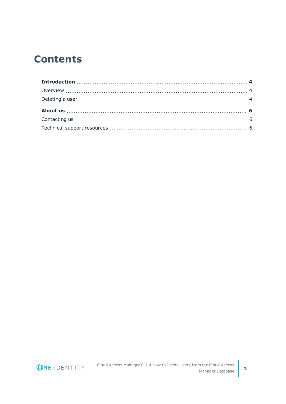### **Contents**

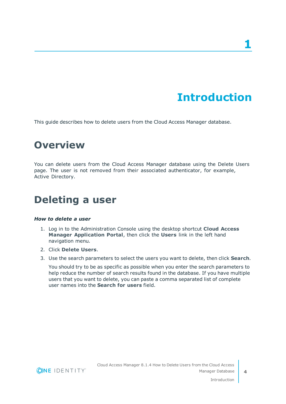# **Introduction**

<span id="page-3-1"></span><span id="page-3-0"></span>This guide describes how to delete users from the Cloud Access Manager database.

### **Overview**

You can delete users from the Cloud Access Manager database using the Delete Users page. The user is not removed from their associated authenticator, for example, Active Directory.

### <span id="page-3-2"></span>**Deleting a user**

### *How to delete a user*

- 1. Log in to the Administration Console using the desktop shortcut **Cloud Access Manager Application Portal**, then click the **Users** link in the left hand navigation menu.
- 2. Click **Delete Users**.
- 3. Use the search parameters to select the users you want to delete, then click **Search**.

You should try to be as specific as possible when you enter the search parameters to help reduce the number of search results found in the database. If you have multiple users that you want to delete, you can paste a comma separated list of complete user names into the **Search for users** field.

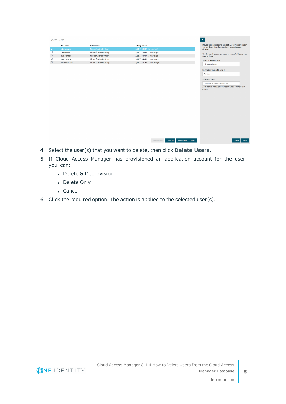| <b>Delete Users</b> |                       |                                   |                                                      | $\rightarrow$                                                                                                                                                                            |
|---------------------|-----------------------|-----------------------------------|------------------------------------------------------|------------------------------------------------------------------------------------------------------------------------------------------------------------------------------------------|
|                     | <b>User Name</b>      | Authenticator                     | <b>Last Log In Date</b>                              | If a user no longer requires access to Cloud Access Manager<br>you can delete them from the Cloud Access Manager                                                                         |
| А                   | Administrator         | <b>Microsoft Active Diretcory</b> | 10/11/17 8:49 PM (for 1 minute)                      | database.                                                                                                                                                                                |
| $\Box$              | <b>Kate Nielsen</b>   | Microsoft Active Diretcory        | 10/11/17 8:49 PM (1 minute ago)                      | Use the search parameters below to search for the user you                                                                                                                               |
| о                   | Nigel Handers         | Microsoft Active Diretcory        | 10/11/17 8:49 PM (1 minute ago)                      | want to delete.                                                                                                                                                                          |
| O                   | <b>Stuart Mughal</b>  | Microsoft Active Diretcory        | 10/11/17 8:49 PM (1 minute ago)                      | Select an authenticator                                                                                                                                                                  |
| $\Box$              | <b>Wilson Malcolm</b> | Microsoft Active Diretcory        | 10/11/17 8:47 PM (3 minutes ago)                     | All Authenticators                                                                                                                                                                       |
|                     |                       |                                   |                                                      | ۰<br>Show users who last logged in<br>Anytime<br>$\checkmark$<br>Search for users<br>Enter one or more user names<br>Enter a single partial user name or multiple complete user<br>names |
|                     |                       |                                   | Select All<br>De-Select All<br>Close<br>Delete Users | Reset<br>Search                                                                                                                                                                          |

- 4. Select the user(s) that you want to delete, then click **Delete Users**.
- 5. If Cloud Access Manager has provisioned an application account for the user, you can:
	- Delete & Deprovision
	- Delete Only
	- Cancel
- 6. Click the required option. The action is applied to the selected user(s).